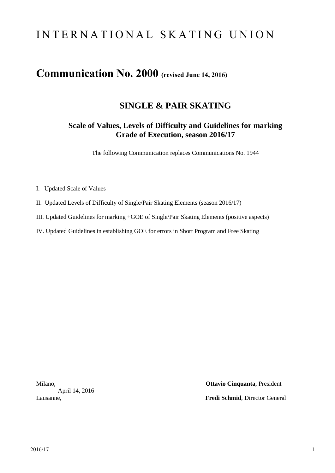# I N T E R N A T I O N A L S K A T I N G U N I O N

# **Communication No. 2000 (revised June 14, 2016)**

## **SINGLE & PAIR SKATING**

### **Scale of Values, Levels of Difficulty and Guidelines for marking Grade of Execution, season 2016/17**

The following Communication replaces Communications No. 1944

- I. Updated Scale of Values
- II. Updated Levels of Difficulty of Single/Pair Skating Elements (season 2016/17)
- III. Updated Guidelines for marking +GOE of Single/Pair Skating Elements (positive aspects)
- IV. Updated Guidelines in establishing GOE for errors in Short Program and Free Skating

April 14, 2016

Milano, **Ottavio Cinquanta**, President Lausanne, **Fredi Schmid**, Director General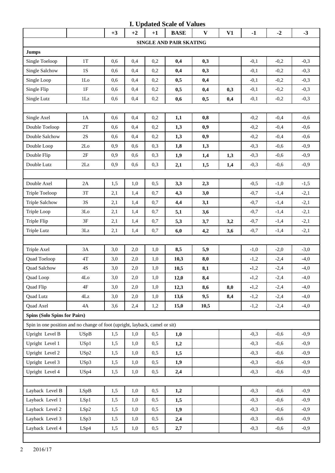|                                                                             |                         |      |      |      | <b>I. Updated Scale of Values</b> |              |     |        |        |        |
|-----------------------------------------------------------------------------|-------------------------|------|------|------|-----------------------------------|--------------|-----|--------|--------|--------|
|                                                                             |                         | $+3$ | $+2$ | $+1$ | <b>BASE</b>                       | $\mathbf{V}$ | V1  | $-1$   | $-2$   | $-3$   |
|                                                                             |                         |      |      |      | SINGLE AND PAIR SKATING           |              |     |        |        |        |
| <b>Jumps</b>                                                                |                         |      |      |      |                                   |              |     |        |        |        |
| Single Toeloop                                                              | 1T                      | 0,6  | 0,4  | 0,2  | 0,4                               | 0,3          |     | $-0,1$ | $-0,2$ | $-0,3$ |
| Single Salchow                                                              | $1S$                    | 0,6  | 0,4  | 0,2  | 0,4                               | 0,3          |     | $-0,1$ | $-0,2$ | $-0,3$ |
| Single Loop                                                                 | 1 <sub>LO</sub>         | 0,6  | 0,4  | 0,2  | 0,5                               | 0,4          |     | $-0,1$ | $-0,2$ | $-0,3$ |
| Single Flip                                                                 | 1F                      | 0,6  | 0,4  | 0,2  | 0,5                               | 0,4          | 0,3 | $-0,1$ | $-0,2$ | $-0,3$ |
| Single Lutz                                                                 | 1Lz                     | 0,6  | 0,4  | 0,2  | 0,6                               | 0,5          | 0,4 | $-0,1$ | $-0,2$ | $-0,3$ |
|                                                                             |                         |      |      |      |                                   |              |     |        |        |        |
| Single Axel                                                                 | 1A                      | 0,6  | 0,4  | 0,2  | 1,1                               | 0,8          |     | $-0,2$ | $-0,4$ | $-0,6$ |
| Double Toeloop                                                              | 2T                      | 0,6  | 0,4  | 0,2  | 1,3                               | 0,9          |     | $-0,2$ | $-0,4$ | $-0,6$ |
| Double Salchow                                                              | $2\mathrm{S}$           | 0,6  | 0,4  | 0,2  | 1,3                               | 0,9          |     | $-0,2$ | $-0,4$ | $-0,6$ |
| Double Loop                                                                 | 2Lo                     | 0,9  | 0,6  | 0,3  | 1,8                               | 1,3          |     | $-0,3$ | $-0,6$ | $-0,9$ |
| Double Flip                                                                 | 2F                      | 0,9  | 0,6  | 0,3  | 1,9                               | 1,4          | 1,3 | $-0,3$ | $-0,6$ | $-0,9$ |
| Double Lutz                                                                 | $2\mathbf{L}\mathbf{z}$ | 0,9  | 0,6  | 0,3  | 2,1                               | 1,5          | 1,4 | $-0,3$ | $-0,6$ | $-0,9$ |
|                                                                             |                         |      |      |      |                                   |              |     |        |        |        |
| Double Axel                                                                 | $2\mathrm{A}$           | 1,5  | 1,0  | 0,5  | 3,3                               | 2,3          |     | $-0,5$ | $-1,0$ | $-1,5$ |
| Triple Toeloop                                                              | 3T                      | 2,1  | 1,4  | 0,7  | 4,3                               | 3,0          |     | $-0,7$ | $-1,4$ | $-2,1$ |
| <b>Triple Salchow</b>                                                       | 3S                      | 2,1  | 1,4  | 0,7  | 4,4                               | 3,1          |     | $-0,7$ | $-1,4$ | $-2,1$ |
| Triple Loop                                                                 | 3Lo                     | 2,1  | 1,4  | 0,7  | 5,1                               | 3,6          |     | $-0,7$ | $-1,4$ | $-2,1$ |
| Triple Flip                                                                 | 3F                      | 2,1  | 1,4  | 0,7  | 5,3                               | 3,7          | 3,2 | $-0,7$ | $-1,4$ | $-2,1$ |
| <b>Triple Lutz</b>                                                          | 3Lz                     | 2,1  | 1,4  | 0,7  | 6,0                               | 4,2          | 3,6 | $-0,7$ | $-1,4$ | $-2,1$ |
|                                                                             |                         |      |      |      |                                   |              |     |        |        |        |
| Triple Axel                                                                 | 3A                      | 3,0  | 2,0  | 1,0  | 8,5                               | 5,9          |     | $-1,0$ | $-2,0$ | $-3,0$ |
| Quad Toeloop                                                                | $4\mathrm{T}$           | 3,0  | 2,0  | 1,0  | 10,3                              | 8,0          |     | $-1,2$ | $-2,4$ | $-4,0$ |
| Quad Salchow                                                                | $4S$                    | 3,0  | 2,0  | 1,0  | 10,5                              | 8,1          |     | $-1,2$ | $-2,4$ | $-4,0$ |
| Quad Loop                                                                   | 4Lo                     | 3,0  | 2,0  | 1,0  | 12,0                              | 8,4          |     | $-1,2$ | $-2,4$ | $-4,0$ |
| Quad Flip                                                                   | 4F                      | 3,0  | 2,0  | 1,0  | 12,3                              | 8,6          | 8,0 | $-1,2$ | $-2,4$ | $-4,0$ |
| <b>Quad Lutz</b>                                                            | $4\mathbf{Lz}$          | 3,0  | 2,0  | 1,0  | 13,6                              | 9,5          | 8,4 | $-1,2$ | $-2,4$ | $-4,0$ |
| Quad Axel                                                                   | 4A                      | 3,6  | 2,4  | 1,2  | 15,0                              | 10,5         |     | $-1,2$ | $-2,4$ | $-4,0$ |
| <b>Spins (Solo Spins for Pairs)</b>                                         |                         |      |      |      |                                   |              |     |        |        |        |
| Spin in one position and no change of foot (upright, layback, camel or sit) |                         |      |      |      |                                   |              |     |        |        |        |
| Upright Level B                                                             | <b>USpB</b>             | 1,5  | 1,0  | 0,5  | 1,0                               |              |     | $-0,3$ | $-0,6$ | $-0,9$ |
| Upright Level 1                                                             | USp1                    | 1,5  | 1,0  | 0,5  | 1,2                               |              |     | $-0,3$ | $-0,6$ | $-0,9$ |
| Upright Level 2                                                             | USp2                    | 1,5  | 1,0  | 0,5  | 1,5                               |              |     | $-0,3$ | $-0,6$ | $-0,9$ |
| Upright Level 3                                                             | USp3                    | 1,5  | 1,0  | 0,5  | 1,9                               |              |     | $-0,3$ | $-0,6$ | $-0,9$ |
| Upright Level 4                                                             | USp4                    | 1,5  | 1,0  | 0,5  | 2,4                               |              |     | $-0,3$ | $-0,6$ | $-0,9$ |
|                                                                             |                         |      |      |      |                                   |              |     |        |        |        |
| Layback Level B                                                             | LSpB                    | 1,5  | 1,0  | 0,5  | 1,2                               |              |     | $-0,3$ | $-0,6$ | $-0,9$ |
| Layback Level 1                                                             | LSp1                    | 1,5  | 1,0  | 0,5  | 1,5                               |              |     | $-0,3$ | $-0,6$ | $-0,9$ |
| Layback Level 2                                                             | LSp2                    | 1,5  | 1,0  | 0,5  | 1,9                               |              |     | $-0,3$ | $-0,6$ | $-0,9$ |
| Layback Level 3                                                             | LSp3                    | 1,5  | 1,0  | 0,5  | 2,4                               |              |     | $-0,3$ | $-0,6$ | $-0,9$ |
| Layback Level 4                                                             | LSp4                    | 1,5  | 1,0  | 0,5  | 2,7                               |              |     | $-0,3$ | $-0,6$ | $-0,9$ |
|                                                                             |                         |      |      |      |                                   |              |     |        |        |        |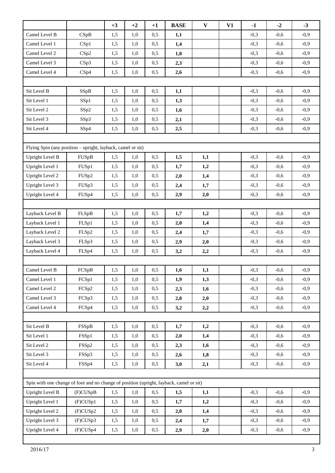|                                                                                         |          | $+3$ | $+2$ | $+1$ | <b>BASE</b> | $\mathbf{V}$ | V1 | $-1$   | $-2$   | $-3$   |
|-----------------------------------------------------------------------------------------|----------|------|------|------|-------------|--------------|----|--------|--------|--------|
| Camel Level B                                                                           | CSpB     | 1,5  | 1,0  | 0,5  | 1,1         |              |    | $-0,3$ | $-0,6$ | $-0,9$ |
| Camel Level 1                                                                           | CSp1     | 1,5  | 1,0  | 0,5  | 1,4         |              |    | $-0,3$ | $-0,6$ | $-0,9$ |
| Camel Level 2                                                                           | CSp2     | 1,5  | 1,0  | 0,5  | 1,8         |              |    | $-0,3$ | $-0,6$ | $-0,9$ |
| Camel Level 3                                                                           | CSp3     | 1,5  | 1,0  | 0,5  | 2,3         |              |    | $-0,3$ | $-0,6$ | $-0,9$ |
| Camel Level 4                                                                           | CSp4     | 1,5  | 1,0  | 0,5  | 2,6         |              |    | $-0,3$ | $-0,6$ | $-0,9$ |
|                                                                                         |          |      |      |      |             |              |    |        |        |        |
| Sit Level B                                                                             | SSpB     | 1,5  | 1,0  | 0,5  | 1,1         |              |    | $-0,3$ | $-0,6$ | $-0,9$ |
| Sit Level 1                                                                             | SSp1     | 1,5  | 1,0  | 0,5  | 1,3         |              |    | $-0,3$ | $-0,6$ | $-0,9$ |
| Sit Level 2                                                                             | SSp2     | 1,5  | 1,0  | 0,5  | 1,6         |              |    | $-0,3$ | $-0,6$ | $-0,9$ |
| Sit Level 3                                                                             | SSp3     | 1,5  | 1,0  | 0,5  | 2,1         |              |    | $-0,3$ | $-0,6$ | $-0,9$ |
| Sit Level 4                                                                             | SSp4     | 1,5  | 1,0  | 0,5  | 2,5         |              |    | $-0,3$ | $-0,6$ | $-0,9$ |
|                                                                                         |          |      |      |      |             |              |    |        |        |        |
| Flying Spin (any position – upright, layback, camel or sit)                             |          |      |      |      |             |              |    |        |        |        |
| <b>Upright Level B</b>                                                                  | FUSpB    | 1,5  | 1,0  | 0,5  | 1,5         | 1,1          |    | $-0,3$ | $-0,6$ | $-0,9$ |
| Upright Level 1                                                                         | FUSp1    | 1,5  | 1,0  | 0,5  | 1,7         | 1,2          |    | $-0,3$ | $-0,6$ | $-0,9$ |
| <b>Upright Level 2</b>                                                                  | FUSp2    | 1,5  | 1,0  | 0,5  | 2,0         | 1,4          |    | $-0,3$ | $-0,6$ | $-0,9$ |
| Upright Level 3                                                                         | FUSp3    | 1,5  | 1,0  | 0,5  | 2,4         | 1,7          |    | $-0,3$ | $-0,6$ | $-0,9$ |
| Upright Level 4                                                                         | FUSp4    | 1,5  | 1,0  | 0,5  | 2,9         | 2,0          |    | $-0,3$ | $-0,6$ | $-0,9$ |
|                                                                                         |          |      |      |      |             |              |    |        |        |        |
| Layback Level B                                                                         | FLSpB    | 1,5  | 1,0  | 0,5  | 1,7         | 1,2          |    | $-0,3$ | $-0,6$ | $-0,9$ |
| Layback Level 1                                                                         | FLSp1    | 1,5  | 1,0  | 0,5  | 2,0         | 1,4          |    | $-0,3$ | $-0,6$ | $-0,9$ |
| Layback Level 2                                                                         | FLSp2    | 1,5  | 1,0  | 0,5  | 2,4         | 1,7          |    | $-0,3$ | $-0,6$ | $-0,9$ |
| Layback Level 3                                                                         | FLSp3    | 1,5  | 1,0  | 0,5  | 2,9         | 2,0          |    | $-0,3$ | $-0,6$ | $-0,9$ |
| Layback Level 4                                                                         | FLSp4    | 1,5  | 1,0  | 0,5  | 3,2         | 2,2          |    | $-0,3$ | $-0,6$ | $-0,9$ |
|                                                                                         |          |      |      |      |             |              |    |        |        |        |
| Camel Level B                                                                           | FCSpB    | 1,5  | 1,0  | 0,5  | 1,6         | 1,1          |    | $-0,3$ | $-0,6$ | $-0,9$ |
| Camel Level 1                                                                           | FCSp1    | 1,5  | 1,0  | 0,5  | 1,9         | 1,3          |    | $-0,3$ | $-0,6$ | $-0,9$ |
| Camel Level 2                                                                           | FCSp2    | 1,5  | 1,0  | 0,5  | 2,3         | 1,6          |    | $-0,3$ | $-0,6$ | $-0,9$ |
| Camel Level 3                                                                           | FCSp3    | 1,5  | 1,0  | 0,5  | 2,8         | 2,0          |    | $-0,3$ | $-0,6$ | $-0,9$ |
| Camel Level 4                                                                           | FCSp4    | 1,5  | 1,0  | 0,5  | 3,2         | 2,2          |    | $-0,3$ | $-0,6$ | $-0,9$ |
|                                                                                         |          |      |      |      |             |              |    |        |        |        |
| Sit Level B                                                                             | FSSpB    | 1,5  | 1,0  | 0,5  | 1,7         | 1,2          |    | $-0,3$ | $-0,6$ | $-0,9$ |
| Sit Level 1                                                                             | FSSp1    | 1,5  | 1,0  | 0,5  | 2,0         | 1,4          |    | $-0,3$ | $-0,6$ | $-0,9$ |
| Sit Level 2                                                                             | FSSp2    | 1,5  | 1,0  | 0,5  | 2,3         | 1,6          |    | $-0,3$ | $-0,6$ | $-0,9$ |
| Sit Level 3                                                                             | FSSp3    | 1,5  | 1,0  | 0,5  | 2,6         | 1,8          |    | $-0,3$ | $-0,6$ | $-0,9$ |
| Sit Level 4                                                                             | FSSp4    | 1,5  | 1,0  | 0,5  | 3,0         | 2,1          |    | $-0,3$ | $-0,6$ | $-0,9$ |
|                                                                                         |          |      |      |      |             |              |    |        |        |        |
| Spin with one change of foot and no change of position (upright, layback, camel or sit) |          |      |      |      |             |              |    |        |        |        |
| Upright Level B                                                                         | (F)CUSpB | 1,5  | 1,0  | 0,5  | 1,5         | 1,1          |    | $-0,3$ | $-0,6$ | $-0,9$ |
| Upright Level 1                                                                         | (F)CUSp1 | 1,5  | 1,0  | 0,5  | 1,7         | 1,2          |    | $-0,3$ | $-0,6$ | $-0,9$ |
| Upright Level 2                                                                         | (F)CUSp2 | 1,5  | 1,0  | 0,5  | 2,0         | 1,4          |    | $-0,3$ | $-0,6$ | $-0,9$ |
| Upright Level 3                                                                         | (F)CUSp3 | 1,5  | 1,0  | 0,5  | 2,4         | 1,7          |    | $-0,3$ | $-0,6$ | $-0,9$ |
| Upright Level 4                                                                         | (F)CUSp4 | 1,5  | 1,0  | 0,5  | 2,9         | 2,0          |    | $-0,3$ | $-0,6$ | $-0,9$ |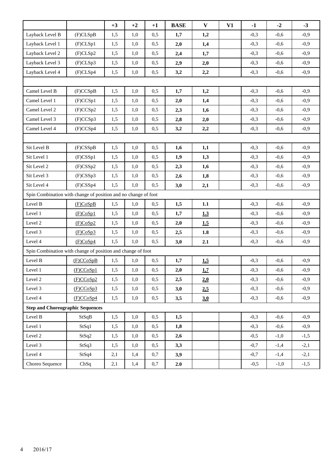|                                                                |             | $+3$ | $+2$    | $+1$ | <b>BASE</b> | $\mathbf{V}$ | V1 | $-1$   | $-2$   | $-3$   |  |
|----------------------------------------------------------------|-------------|------|---------|------|-------------|--------------|----|--------|--------|--------|--|
| Layback Level B                                                | (F)CLSpB    | 1,5  | 1,0     | 0,5  | 1,7         | 1,2          |    | $-0,3$ | $-0,6$ | $-0,9$ |  |
| Layback Level 1                                                | (F)CLSp1    | 1,5  | 1,0     | 0,5  | 2,0         | 1,4          |    | $-0,3$ | $-0,6$ | $-0,9$ |  |
| Layback Level 2                                                | (F)CLSp2    | 1,5  | 1,0     | 0,5  | 2,4         | 1,7          |    | $-0,3$ | $-0,6$ | $-0,9$ |  |
| Layback Level 3                                                | (F)CLSp3    | 1,5  | 1,0     | 0,5  | 2,9         | 2,0          |    | $-0,3$ | $-0,6$ | $-0,9$ |  |
| Layback Level 4                                                | (F)CLSp4    | 1,5  | 1,0     | 0,5  | 3,2         | 2,2          |    | $-0,3$ | $-0,6$ | $-0,9$ |  |
|                                                                |             |      |         |      |             |              |    |        |        |        |  |
| Camel Level B                                                  | (F)CCSpB    | 1,5  | 1,0     | 0,5  | 1,7         | 1,2          |    | $-0,3$ | $-0,6$ | $-0,9$ |  |
| Camel Level 1                                                  | (F)CCSp1    | 1,5  | 1,0     | 0,5  | 2,0         | 1,4          |    | $-0,3$ | $-0,6$ | $-0,9$ |  |
| Camel Level 2                                                  | (F)CCSp2    | 1,5  | 1,0     | 0,5  | 2,3         | 1,6          |    | $-0,3$ | $-0,6$ | $-0,9$ |  |
| Camel Level 3                                                  | (F)CCSp3    | 1,5  | 1,0     | 0,5  | 2,8         | 2,0          |    | $-0,3$ | $-0,6$ | $-0,9$ |  |
| Camel Level 4                                                  | (F)CCSp4    | 1,5  | 1,0     | 0,5  | 3,2         | 2,2          |    | $-0,3$ | $-0,6$ | $-0,9$ |  |
|                                                                |             |      |         |      |             |              |    |        |        |        |  |
| Sit Level B                                                    | $(F)$ CSSpB | 1,5  | 1,0     | 0,5  | 1,6         | 1,1          |    | $-0,3$ | $-0,6$ | $-0,9$ |  |
| Sit Level 1                                                    | $(F)$ CSSp1 | 1,5  | 1,0     | 0,5  | 1,9         | 1,3          |    | $-0,3$ | $-0,6$ | $-0,9$ |  |
| Sit Level 2                                                    | $(F)$ CSSp2 | 1,5  | 1,0     | 0,5  | 2,3         | 1,6          |    | $-0,3$ | $-0,6$ | $-0,9$ |  |
| Sit Level 3                                                    | $(F)$ CSSp3 | 1,5  | 1,0     | 0,5  | 2,6         | 1,8          |    | $-0,3$ | $-0,6$ | $-0,9$ |  |
| Sit Level 4                                                    | $(F)$ CSSp4 | 1,5  | 1,0     | 0,5  | 3,0         | 2,1          |    | $-0,3$ | $-0,6$ | $-0,9$ |  |
| Spin Combination with change of position and no change of foot |             |      |         |      |             |              |    |        |        |        |  |
| Level B                                                        | (F)CoSpB    | 1,5  | 1,0     | 0,5  | 1,5         | 1.1          |    | $-0,3$ | $-0,6$ | $-0,9$ |  |
| Level 1                                                        | (F)CoSp1    | 1,5  | 1,0     | 0,5  | 1,7         | 1.3          |    | $-0,3$ | $-0,6$ | $-0,9$ |  |
| Level 2                                                        | (F)CoSp2    | 1,5  | 1,0     | 0,5  | 2,0         | 1.5          |    | $-0,3$ | $-0,6$ | $-0,9$ |  |
| Level 3                                                        | (F)CoSp3    | 1,5  | 1,0     | 0,5  | 2,5         | 1.8          |    | $-0,3$ | $-0,6$ | $-0,9$ |  |
| Level 4                                                        | (F)CoSp4    | 1,5  | 1,0     | 0,5  | 3,0         | 2.1          |    | $-0,3$ | $-0,6$ | $-0,9$ |  |
| Spin Combination with change of position and change of foot    |             |      |         |      |             |              |    |        |        |        |  |
| Level B                                                        | (F)CCoSpB   | 1,5  | 1,0     | 0,5  | 1,7         | 1,5          |    | $-0,3$ | $-0,6$ | $-0,9$ |  |
| Level 1                                                        | (F)CCoSp1   | 1,5  | $1,\!0$ | 0,5  | $2,\!0$     | 1,7          |    | $-0,3$ | $-0,6$ | $-0,9$ |  |
| Level 2                                                        | (F)CCoSp2   | 1,5  | 1,0     | 0,5  | 2,5         | 2.0          |    | $-0,3$ | $-0,6$ | $-0,9$ |  |
| Level 3                                                        | (F)CCoSp3   | 1,5  | 1,0     | 0,5  | 3,0         | 2,5          |    | $-0,3$ | $-0,6$ | $-0,9$ |  |
| Level 4                                                        | (F)CCoSp4   | 1,5  | 1,0     | 0,5  | 3,5         | 3.0          |    | $-0,3$ | $-0,6$ | $-0,9$ |  |
| <b>Step and Choreographic Sequences</b>                        |             |      |         |      |             |              |    |        |        |        |  |
| Level B                                                        | StSqB       | 1,5  | 1,0     | 0,5  | 1,5         |              |    | $-0,3$ | $-0,6$ | $-0,9$ |  |
| Level 1                                                        | StSq1       | 1,5  | 1,0     | 0,5  | 1,8         |              |    | $-0,3$ | $-0,6$ | $-0,9$ |  |
| Level 2                                                        | StSq2       | 1,5  | 1,0     | 0,5  | 2,6         |              |    | $-0,5$ | $-1,0$ | $-1,5$ |  |
| Level 3                                                        | StSq3       | 1,5  | 1,0     | 0,5  | 3,3         |              |    | $-0,7$ | $-1,4$ | $-2,1$ |  |
| Level 4                                                        | StSq4       | 2,1  | 1,4     | 0,7  | 3,9         |              |    | $-0,7$ | $-1,4$ | $-2,1$ |  |
| Choreo Sequence                                                | ChSq        | 2,1  | 1,4     | 0,7  | 2.0         |              |    | $-0,5$ | $-1,0$ | $-1,5$ |  |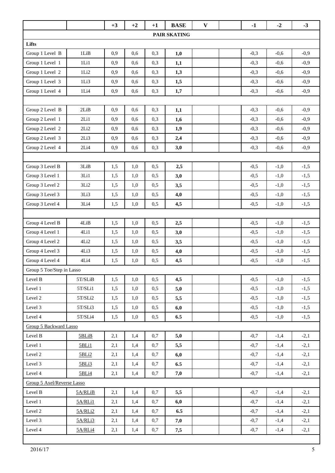|                            |           | $+3$ | $+2$ | $+1$ | <b>BASE</b> | $\mathbf{V}$ |  | $-1$   | $-2$   | $-3$   |
|----------------------------|-----------|------|------|------|-------------|--------------|--|--------|--------|--------|
| PAIR SKATING               |           |      |      |      |             |              |  |        |        |        |
| Lifts                      |           |      |      |      |             |              |  |        |        |        |
| Group 1 Level B            | 1LiB      | 0,9  | 0,6  | 0,3  | 1,0         |              |  | $-0,3$ | $-0,6$ | $-0,9$ |
| Group 1 Level 1            | 1Li1      | 0,9  | 0,6  | 0,3  | 1,1         |              |  | $-0,3$ | $-0,6$ | $-0,9$ |
| Group 1 Level 2            | 1Li2      | 0,9  | 0,6  | 0,3  | 1,3         |              |  | $-0,3$ | $-0,6$ | $-0,9$ |
| Group 1 Level 3            | 1Li3      | 0,9  | 0,6  | 0,3  | 1,5         |              |  | $-0,3$ | $-0,6$ | $-0,9$ |
| Group 1 Level 4            | 1Li4      | 0,9  | 0,6  | 0,3  | 1,7         |              |  | $-0,3$ | $-0,6$ | $-0,9$ |
|                            |           |      |      |      |             |              |  |        |        |        |
| Group 2 Level B            | 2LiB      | 0,9  | 0,6  | 0,3  | 1,1         |              |  | $-0,3$ | $-0,6$ | $-0,9$ |
| Group 2 Level 1            | 2Li1      | 0,9  | 0,6  | 0,3  | 1,6         |              |  | $-0,3$ | $-0,6$ | $-0,9$ |
| Group 2 Level 2            | 2Li2      | 0,9  | 0,6  | 0,3  | 1,9         |              |  | $-0,3$ | $-0,6$ | $-0,9$ |
| Group 2 Level 3            | 2Li3      | 0,9  | 0,6  | 0,3  | 2,4         |              |  | $-0,3$ | $-0,6$ | $-0,9$ |
| Group 2 Level 4            | 2Li4      | 0,9  | 0,6  | 0,3  | 3,0         |              |  | $-0,3$ | $-0,6$ | $-0,9$ |
|                            |           |      |      |      |             |              |  |        |        |        |
| Group 3 Level B            | 3LiB      | 1,5  | 1,0  | 0,5  | 2,5         |              |  | $-0,5$ | $-1,0$ | $-1,5$ |
| Group 3 Level 1            | 3Li1      | 1,5  | 1,0  | 0,5  | 3,0         |              |  | $-0,5$ | $-1,0$ | $-1,5$ |
| Group 3 Level 2            | 3Li2      | 1,5  | 1,0  | 0,5  | 3,5         |              |  | $-0,5$ | $-1,0$ | $-1,5$ |
| Group 3 Level 3            | 3Li3      | 1,5  | 1,0  | 0,5  | 4,0         |              |  | $-0,5$ | $-1,0$ | $-1,5$ |
| Group 3 Level 4            | 3Li4      | 1,5  | 1,0  | 0,5  | 4,5         |              |  | $-0,5$ | $-1,0$ | $-1,5$ |
|                            |           |      |      |      |             |              |  |        |        |        |
| Group 4 Level B            | 4LiB      | 1,5  | 1,0  | 0,5  | 2,5         |              |  | $-0,5$ | $-1,0$ | $-1,5$ |
| Group 4 Level 1            | 4Li1      | 1,5  | 1,0  | 0,5  | 3,0         |              |  | $-0,5$ | $-1,0$ | $-1,5$ |
| Group 4 Level 2            | 4Li2      | 1,5  | 1,0  | 0,5  | 3,5         |              |  | $-0,5$ | $-1,0$ | $-1,5$ |
| Group 4 Level 3            | 4Li3      | 1,5  | 1,0  | 0,5  | 4,0         |              |  | $-0,5$ | $-1,0$ | $-1,5$ |
| Group 4 Level 4            | 4Li4      | 1,5  | 1,0  | 0,5  | 4,5         |              |  | $-0,5$ | $-1,0$ | $-1,5$ |
| Group 5 Toe/Step in Lasso  |           |      |      |      |             |              |  |        |        |        |
| Level B                    | 5T/SLiB   | 1,5  | 1,0  | 0,5  | 4,5         |              |  | $-0,5$ | $-1,0$ | $-1,5$ |
| Level 1                    | $5T/SLi1$ | 1,5  | 1,0  | 0,5  | 5,0         |              |  | $-0,5$ | $-1,0$ | $-1,5$ |
| Level 2                    | 5T/SLi2   | 1,5  | 1,0  | 0,5  | 5,5         |              |  | $-0,5$ | $-1,0$ | $-1,5$ |
| Level 3                    | $5T/SLi3$ | 1,5  | 1,0  | 0,5  | 6,0         |              |  | $-0,5$ | $-1,0$ | $-1,5$ |
| Level 4                    | 5T/SLi4   | 1,5  | 1,0  | 0,5  | 6.5         |              |  | $-0,5$ | $-1,0$ | $-1,5$ |
| Group 5 Backward Lasso     |           |      |      |      |             |              |  |        |        |        |
| Level B                    | 5BLiB     | 2,1  | 1,4  | 0,7  | 5,0         |              |  | $-0,7$ | $-1,4$ | $-2,1$ |
| Level 1                    | 5BLi1     | 2,1  | 1,4  | 0,7  | 5,5         |              |  | $-0,7$ | $-1,4$ | $-2,1$ |
| Level 2                    | 5BLi2     | 2,1  | 1,4  | 0,7  | 6,0         |              |  | $-0,7$ | $-1,4$ | $-2,1$ |
| Level 3                    | 5BLi3     | 2,1  | 1,4  | 0,7  | 6.5         |              |  | $-0,7$ | $-1,4$ | $-2,1$ |
| Level 4                    | 5BLi4     | 2,1  | 1,4  | 0,7  | 7,0         |              |  | $-0,7$ | $-1,4$ | $-2,1$ |
| Group 5 Axel/Reverse Lasso |           |      |      |      |             |              |  |        |        |        |
| Level B                    | 5A/RLiB   | 2,1  | 1,4  | 0,7  | 5,5         |              |  | $-0,7$ | $-1,4$ | $-2,1$ |
| Level 1                    | 5A/RLi1   | 2,1  | 1,4  | 0,7  | 6,0         |              |  | $-0,7$ | $-1,4$ | $-2,1$ |
| Level 2                    | 5A/RLi2   | 2,1  | 1,4  | 0,7  | 6.5         |              |  | $-0,7$ | $-1,4$ | $-2,1$ |
| Level 3                    | 5A/RLi3   | 2,1  | 1,4  | 0,7  | 7,0         |              |  | $-0,7$ | $-1,4$ | $-2,1$ |
| Level 4                    | 5A/RLi4   | 2,1  | 1,4  | 0,7  | 7,5         |              |  | $-0,7$ | $-1,4$ | $-2,1$ |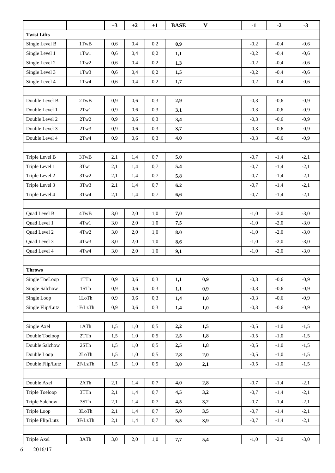|                       |                   | $+3$ | $+2$ | $+1$ | <b>BASE</b> | $\mathbf{V}$ | $-1$   | $-2$   | $-3$   |
|-----------------------|-------------------|------|------|------|-------------|--------------|--------|--------|--------|
| <b>Twist Lifts</b>    |                   |      |      |      |             |              |        |        |        |
| Single Level B        | $1$ TwB           | 0,6  | 0,4  | 0,2  | 0,9         |              | $-0,2$ | $-0,4$ | $-0,6$ |
| Single Level 1        | $1$ Tw $1$        | 0,6  | 0,4  | 0,2  | 1,1         |              | $-0,2$ | $-0,4$ | $-0,6$ |
| Single Level 2        | $1$ Tw $2$        | 0,6  | 0,4  | 0,2  | 1,3         |              | $-0,2$ | $-0,4$ | $-0,6$ |
| Single Level 3        | $1$ Tw $3$        | 0,6  | 0,4  | 0,2  | 1,5         |              | $-0,2$ | $-0,4$ | $-0,6$ |
| Single Level 4        | $1$ Tw $4$        | 0,6  | 0,4  | 0,2  | 1,7         |              | $-0,2$ | $-0,4$ | $-0,6$ |
|                       |                   |      |      |      |             |              |        |        |        |
| Double Level B        | 2TwB              | 0,9  | 0.6  | 0,3  | 2,9         |              | $-0,3$ | $-0.6$ | $-0,9$ |
| Double Level 1        | 2Tw1              | 0,9  | 0,6  | 0,3  | 3,1         |              | $-0,3$ | $-0,6$ | $-0,9$ |
| Double Level 2        | 2Tw2              | 0,9  | 0,6  | 0,3  | 3,4         |              | $-0,3$ | $-0,6$ | $-0,9$ |
| Double Level 3        | 2Tw3              | 0,9  | 0,6  | 0,3  | 3,7         |              | $-0,3$ | $-0,6$ | $-0,9$ |
| Double Level 4        | $2\mathrm{Tw}4$   | 0,9  | 0,6  | 0,3  | 4,0         |              | $-0,3$ | $-0,6$ | $-0,9$ |
|                       |                   |      |      |      |             |              |        |        |        |
| Triple Level B        | 3TwB              | 2,1  | 1,4  | 0,7  | 5.0         |              | $-0,7$ | $-1,4$ | $-2,1$ |
| Triple Level 1        | 3Tw1              | 2,1  | 1,4  | 0,7  | 5.4         |              | $-0,7$ | $-1,4$ | $-2,1$ |
| Triple Level 2        | 3Tw2              | 2,1  | 1,4  | 0,7  | 5.8         |              | $-0,7$ | $-1,4$ | $-2,1$ |
| Triple Level 3        | 3Tw3              | 2,1  | 1,4  | 0,7  | 6.2         |              | $-0,7$ | $-1,4$ | $-2,1$ |
| Triple Level 4        | 3Tw4              | 2,1  | 1,4  | 0,7  | 6,6         |              | $-0,7$ | $-1,4$ | $-2,1$ |
|                       |                   |      |      |      |             |              |        |        |        |
| Quad Level B          | 4TwB              | 3,0  | 2,0  | 1,0  | 7,0         |              | $-1,0$ | $-2,0$ | $-3,0$ |
| Quad Level 1          | 4Tw1              | 3,0  | 2,0  | 1,0  | 7,5         |              | $-1,0$ | $-2,0$ | $-3,0$ |
| Quad Level 2          | $4 \mathrm{Tw} 2$ | 3,0  | 2,0  | 1,0  | 8.0         |              | $-1,0$ | $-2,0$ | $-3,0$ |
| Quad Level 3          | 4Tw3              | 3,0  | 2,0  | 1,0  | 8,6         |              | $-1,0$ | $-2,0$ | $-3,0$ |
| Quad Level 4          | $4$ Tw $4$        | 3,0  | 2,0  | 1,0  | 9,1         |              | $-1,0$ | $-2,0$ | $-3,0$ |
|                       |                   |      |      |      |             |              |        |        |        |
| <b>Throws</b>         |                   |      |      |      |             |              |        |        |        |
| Single ToeLoop        | 1TTh              | 0,9  | 0,6  | 0,3  | 1,1         | 0,9          | $-0,3$ | $-0,6$ | $-0,9$ |
| Single Salchow        | $1STh$            | 0,9  | 0,6  | 0,3  | 1,1         | 0,9          | $-0,3$ | $-0,6$ | $-0,9$ |
| Single Loop           | $1 \mathrm{LoTh}$ | 0,9  | 0,6  | 0,3  | 1,4         | 1,0          | $-0,3$ | $-0,6$ | $-0,9$ |
| Single Flip/Lutz      | 1F/LzTh           | 0,9  | 0,6  | 0,3  | 1,4         | 1,0          | $-0,3$ | $-0,6$ | $-0,9$ |
|                       |                   |      |      |      |             |              |        |        |        |
| Single Axel           | 1ATh              | 1,5  | 1,0  | 0,5  | 2,2         | 1,5          | $-0,5$ | $-1,0$ | $-1,5$ |
| Double Toeloop        | 2TTh              | 1,5  | 1,0  | 0,5  | 2,5         | 1,8          | $-0,5$ | $-1,0$ | $-1,5$ |
| Double Salchow        | 2STh              | 1,5  | 1,0  | 0,5  | 2,5         | 1,8          | $-0,5$ | $-1,0$ | $-1,5$ |
| Double Loop           | 2LoTh             | 1,5  | 1,0  | 0,5  | 2,8         | 2,0          | $-0,5$ | $-1,0$ | $-1,5$ |
| Double Flip/Lutz      | 2F/LzTh           | 1,5  | 1,0  | 0,5  | 3,0         | 2,1          | $-0,5$ | $-1,0$ | $-1,5$ |
|                       |                   |      |      |      |             |              |        |        |        |
| Double Axel           | 2ATh              | 2,1  | 1,4  | 0,7  | 4,0         | 2,8          | $-0,7$ | $-1,4$ | $-2,1$ |
| Triple Toeloop        | 3TTh              | 2,1  | 1,4  | 0,7  | 4,5         | 3,2          | $-0,7$ | $-1,4$ | $-2,1$ |
| <b>Triple Salchow</b> | $3STh$            | 2,1  | 1,4  | 0,7  | 4,5         | 3,2          | $-0,7$ | $-1,4$ | $-2,1$ |
| Triple Loop           | 3LoTh             | 2,1  | 1,4  | 0,7  | 5,0         | 3,5          | $-0,7$ | $-1,4$ | $-2,1$ |
| Triple Flip/Lutz      | 3F/LzTh           | 2,1  | 1,4  | 0,7  | 5,5         | 3,9          | $-0,7$ | $-1,4$ | $-2,1$ |
|                       |                   |      |      |      |             |              |        |        |        |
| Triple Axel           | 3ATh              | 3,0  | 2,0  | 1,0  | 7,7         | 5,4          | $-1,0$ | $-2,0$ | $-3,0$ |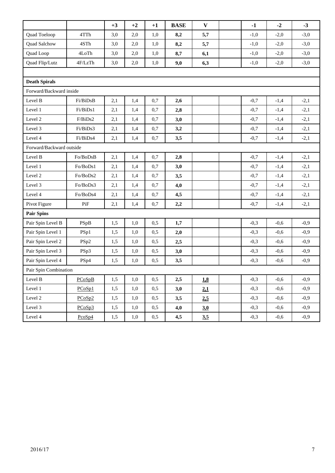|                          |                   | $+3$ | $+2$ | $+1$ | <b>BASE</b> | $\mathbf{V}$ |  | $-1$   | $-2$   | $-3$   |
|--------------------------|-------------------|------|------|------|-------------|--------------|--|--------|--------|--------|
| Quad Toeloop             | 4TTh              | 3,0  | 2,0  | 1,0  | 8,2         | 5,7          |  | $-1,0$ | $-2,0$ | $-3,0$ |
| Quad Salchow             | 4STh              | 3,0  | 2,0  | 1,0  | 8,2         | 5,7          |  | $-1,0$ | $-2,0$ | $-3,0$ |
| Quad Loop                | $4 \mathrm{LoTh}$ | 3,0  | 2,0  | 1,0  | 8,7         | 6,1          |  | $-1,0$ | $-2,0$ | $-3,0$ |
| Quad Flip/Lutz           | 4F/LzTh           | 3,0  | 2,0  | 1,0  | 9,0         | 6,3          |  | $-1,0$ | $-2,0$ | $-3,0$ |
|                          |                   |      |      |      |             |              |  |        |        |        |
| <b>Death Spirals</b>     |                   |      |      |      |             |              |  |        |        |        |
| Forward/Backward inside  |                   |      |      |      |             |              |  |        |        |        |
| Level B                  | Fi/BiDsB          | 2,1  | 1,4  | 0,7  | 2,6         |              |  | $-0,7$ | $-1,4$ | $-2,1$ |
| Level 1                  | Fi/BiDs1          | 2,1  | 1,4  | 0,7  | 2,8         |              |  | $-0,7$ | $-1,4$ | $-2,1$ |
| Level 2                  | F/BiDs2           | 2,1  | 1,4  | 0,7  | 3,0         |              |  | $-0,7$ | $-1,4$ | $-2,1$ |
| Level 3                  | Fi/BiDs3          | 2,1  | 1,4  | 0,7  | 3,2         |              |  | $-0,7$ | $-1,4$ | $-2,1$ |
| Level 4                  | Fi/BiDs4          | 2,1  | 1,4  | 0,7  | 3,5         |              |  | $-0,7$ | $-1,4$ | $-2,1$ |
| Forward/Backward outside |                   |      |      |      |             |              |  |        |        |        |
| Level B                  | Fo/BoDsB          | 2,1  | 1,4  | 0,7  | 2,8         |              |  | $-0,7$ | $-1,4$ | $-2,1$ |
| Level 1                  | Fo/BoDs1          | 2,1  | 1,4  | 0,7  | 3,0         |              |  | $-0,7$ | $-1,4$ | $-2,1$ |
| Level 2                  | Fo/BoDs2          | 2,1  | 1,4  | 0,7  | 3,5         |              |  | $-0,7$ | $-1,4$ | $-2,1$ |
| Level 3                  | Fo/BoDs3          | 2,1  | 1,4  | 0,7  | 4,0         |              |  | $-0,7$ | $-1,4$ | $-2,1$ |
| Level 4                  | Fo/BoDs4          | 2,1  | 1,4  | 0,7  | 4,5         |              |  | $-0,7$ | $-1,4$ | $-2,1$ |
| Pivot Figure             | PiF               | 2,1  | 1,4  | 0,7  | 2,2         |              |  | $-0,7$ | $-1,4$ | $-2,1$ |
| <b>Pair Spins</b>        |                   |      |      |      |             |              |  |        |        |        |
| Pair Spin Level B        | PSpB              | 1,5  | 1,0  | 0,5  | 1,7         |              |  | $-0,3$ | $-0,6$ | $-0,9$ |
| Pair Spin Level 1        | PSp1              | 1,5  | 1,0  | 0,5  | 2,0         |              |  | $-0,3$ | $-0,6$ | $-0,9$ |
| Pair Spin Level 2        | PSp2              | 1,5  | 1,0  | 0,5  | 2,5         |              |  | $-0,3$ | $-0,6$ | $-0,9$ |
| Pair Spin Level 3        | PSp3              | 1,5  | 1,0  | 0,5  | 3,0         |              |  | $-0,3$ | $-0,6$ | $-0,9$ |
| Pair Spin Level 4        | PSp4              | 1,5  | 1,0  | 0,5  | 3,5         |              |  | $-0,3$ | $-0,6$ | $-0,9$ |
| Pair Spin Combination    |                   |      |      |      |             |              |  |        |        |        |
| Level B                  | PCoSpB            | 1,5  | 1,0  | 0,5  | 2,5         | 18           |  | $-0,3$ | $-0,6$ | $-0,9$ |
| Level 1                  | PCoSp1            | 1,5  | 1,0  | 0,5  | 3,0         | 21           |  | $-0,3$ | $-0,6$ | $-0,9$ |
| Level 2                  | PCoSp2            | 1,5  | 1,0  | 0,5  | 3,5         | 2,5          |  | $-0,3$ | $-0,6$ | $-0,9$ |
| Level 3                  | PCoSp3            | 1,5  | 1,0  | 0,5  | 4,0         | 3.0          |  | $-0,3$ | $-0,6$ | $-0,9$ |
| Level 4                  | $P\cos p4$        | 1,5  | 1,0  | 0,5  | 4,5         | 3,5          |  | $-0,3$ | $-0,6$ | $-0,9$ |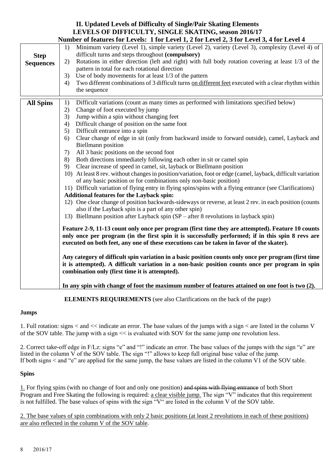## **II. Updated Levels of Difficulty of Single/Pair Skating Elements LEVELS OF DIFFICULTY, SINGLE SKATING, season 2016/17**

|                                 | Number of features for Levels: 1 for Level 1, 2 for Level 2, 3 for Level 3, 4 for Level 4                                                                                                                                                                                                                                                                                                                                                                                                                                                                                                                                                                                                                                                                                                                                                                                                                                                                                                                                                                                                                                                                                                                                                                                                                                                                                                                                                                                                                                                                                                                                                                                                                                                                                                                                                                                                                                               |
|---------------------------------|-----------------------------------------------------------------------------------------------------------------------------------------------------------------------------------------------------------------------------------------------------------------------------------------------------------------------------------------------------------------------------------------------------------------------------------------------------------------------------------------------------------------------------------------------------------------------------------------------------------------------------------------------------------------------------------------------------------------------------------------------------------------------------------------------------------------------------------------------------------------------------------------------------------------------------------------------------------------------------------------------------------------------------------------------------------------------------------------------------------------------------------------------------------------------------------------------------------------------------------------------------------------------------------------------------------------------------------------------------------------------------------------------------------------------------------------------------------------------------------------------------------------------------------------------------------------------------------------------------------------------------------------------------------------------------------------------------------------------------------------------------------------------------------------------------------------------------------------------------------------------------------------------------------------------------------------|
| <b>Step</b><br><b>Sequences</b> | Minimum variety (Level 1), simple variety (Level 2), variety (Level 3), complexity (Level 4) of<br>1)<br>difficult turns and steps throughout (compulsory)<br>Rotations in either direction (left and right) with full body rotation covering at least 1/3 of the<br>2)<br>pattern in total for each rotational direction<br>Use of body movements for at least 1/3 of the pattern<br>3)<br>Two different combinations of 3 difficult turns on different feet executed with a clear rhythm within<br>4)<br>the sequence                                                                                                                                                                                                                                                                                                                                                                                                                                                                                                                                                                                                                                                                                                                                                                                                                                                                                                                                                                                                                                                                                                                                                                                                                                                                                                                                                                                                                 |
| <b>All Spins</b>                | Difficult variations (count as many times as performed with limitations specified below)<br>1)<br>Change of foot executed by jump<br>2)<br>Jump within a spin without changing feet<br>3)<br>Difficult change of position on the same foot<br>4)<br>Difficult entrance into a spin<br>5)<br>Clear change of edge in sit (only from backward inside to forward outside), camel, Layback and<br>6)<br><b>Biellmann</b> position<br>All 3 basic positions on the second foot<br>7)<br>Both directions immediately following each other in sit or camel spin<br>8)<br>Clear increase of speed in camel, sit, layback or Biellmann position<br>9)<br>10) At least 8 rev. without changes in position/variation, foot or edge (camel, layback, difficult variation<br>of any basic position or for combinations only non-basic position)<br>11) Difficult variation of flying entry in flying spins/spins with a flying entrance (see Clarifications)<br><b>Additional features for the Layback spin:</b><br>12) One clear change of position backwards-sideways or reverse, at least 2 rev. in each position (counts<br>also if the Layback spin is a part of any other spin)<br>13) Biellmann position after Layback spin (SP – after 8 revolutions in layback spin)<br>Feature 2-9, 11-13 count only once per program (first time they are attempted). Feature 10 counts<br>only once per program (in the first spin it is successfully performed; if in this spin 8 revs are<br>executed on both feet, any one of these executions can be taken in favor of the skater).<br>Any category of difficult spin variation in a basic position counts only once per program (first time<br>it is attempted). A difficult variation in a non-basic position counts once per program in spin<br>combination only (first time it is attempted).<br>In any spin with change of foot the maximum number of features attained on one foot is two (2). |
|                                 |                                                                                                                                                                                                                                                                                                                                                                                                                                                                                                                                                                                                                                                                                                                                                                                                                                                                                                                                                                                                                                                                                                                                                                                                                                                                                                                                                                                                                                                                                                                                                                                                                                                                                                                                                                                                                                                                                                                                         |

**ELEMENTS REQUIREMENTS** (see also Clarifications on the back of the page)

#### **Jumps**

1. Full rotation: signs < and << indicate an error. The base values of the jumps with a sign < are listed in the column V of the SOV table. The jump with a sign << is evaluated with SOV for the same jump one revolution less.

2. Correct take-off edge in F/Lz: signs "e" and "!" indicate an error. The base values of the jumps with the sign "e" are listed in the column  $\tilde{V}$  of the SOV table. The sign "!" allows to keep full original base value of the jump. If both signs < and "e" are applied for the same jump, the base values are listed in the column V1 of the SOV table.

#### **Spins**

1. For flying spins (with no change of foot and only one position) and spins with flying entrance of both Short Program and Free Skating the following is required: a clear visible jump. The sign "V" indicates that this requirement is not fulfilled. The base values of spins with the sign "V" are listed in the column V of the SOV table.

2. The base values of spin combinations with only 2 basic positions (at least 2 revolutions in each of these positions) are also reflected in the column V of the SOV table.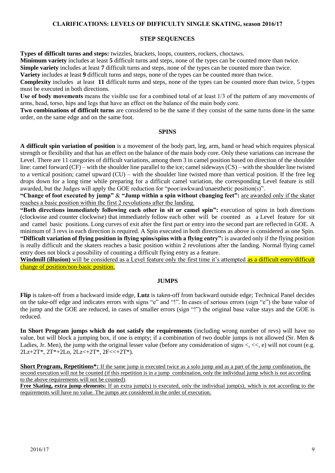#### **CLARIFICATIONS: LEVELS OF DIFFICULTY SINGLE SKATING, season 2016/17**

#### **STEP SEQUENCES**

**Types of difficult turns and steps:** twizzles, brackets, loops, counters, rockers, choctaws.

**Minimum variety** includes at least **5** difficult turns and steps, none of the types can be counted more than twice.

**Simple variety** includes at least **7** difficult turns and steps, none of the types can be counted more than twice.

**Variety** includes at least **9** difficult turns and steps, none of the types can be counted more than twice.

**Complexity** includes at least **11** difficult turns and steps, none of the types can be counted more than twice, 5 types must be executed in both directions.

**Use of body movements** means the visible use for a combined total of at least 1/3 of the pattern of any movements of arms, head, torso, hips and legs that have an effect on the balance of the main body core.

**Two combinations of difficult turns** are considered to be the same if they consist of the same turns done in the same order, on the same edge and on the same foot.

#### **SPINS**

**A difficult spin variation of position** is a movement of the body part, leg, arm, hand or head which requires physical strength or flexibility and that has an effect on the balance of the main body core. Only these variations can increase the Level. There are 11 categories of difficult variations, among them 3 in camel position based on direction of the shoulder line: camel forward (CF) – with the shoulder line parallel to the ice; camel sideways (CS) – with the shoulder line twisted to a vertical position; camel upward (CU) – with the shoulder line twisted more than vertical position. If the free leg drops down for a long time while preparing for a difficult camel variation, the corresponding Level feature is still awarded, but the Judges will apply the GOE reduction for "poor/awkward/unaesthetic position(s)".

**"Change of foot executed by jump"** & **"Jump within a spin without changing feet":** are awarded only if the skater reaches a basic position within the first 2 revolutions after the landing.

**"Both directions immediately following each other in sit or camel spin":** execution of spins in both directions (clockwise and counter clockwise) that immediately follow each other will be counted as a Level feature for sit and camel basic positions. Long curves of exit after the first part or entry into the second part are reflected in GOE. A minimum of 3 revs in each direction is required. A Spin executed in both directions as above is considered as one Spin. **"Difficult variation of flying position in flying spins/spins with a flying entry":** is awarded only if the flying position is really difficult and the skaters reaches a basic position within 2 revolutions after the landing. Normal flying camel entry does not block a possibility of counting a difficult flying entry as a feature.

**Windmill (illusion)** will be considered as a Level feature only the first time it's attempted as a difficult entry/difficult change of position/non-basic position.

#### **JUMPS**

**Flip** is taken-off from a backward inside edge, **Lutz** is taken-off from backward outside edge; Technical Panel decides on the take-off edge and indicates errors with signs "e" and "!". In cases of serious errors (sign "e") the base value of the jump and the GOE are reduced, in cases of smaller errors (sign "!") the original base value stays and the GOE is reduced.

**In Short Program jumps which do not satisfy the requirements** (including wrong number of revs) will have no value, but will block a jumping box, if one is empty; if a combination of two double jumps is not allowed (Sr. Men & Ladies, Jr. Men), the jump with the original lesser value (before any consideration of signs  $\langle \langle \langle \cdot | \cdot \rangle \rangle$ ) will not count (e.g. 2Lz+2T\*, 2T\*+2Lo, 2Lz<+2T\*, 2F<<+2T\*).

**Short Program, Repetitions**<sup>\*</sup>: If the same jump is executed twice as a solo jump and as a part of the jump combination, the second execution will not be counted (if this repetition is in a jump combination, only the individual jump which is not according to the above requirements will not be counted).

**Free Skating, extra jump elements:** If an extra jump(s) is executed, only the individual jump(s), which is not according to the requirements will have no value. The jumps are considered in the order of execution.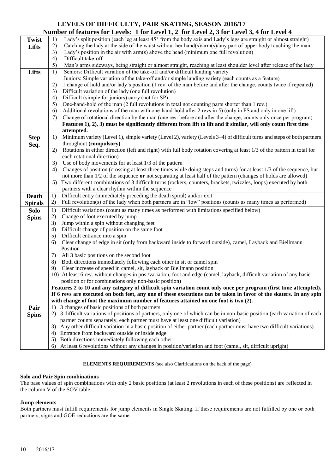#### **LEVELS OF DIFFICULTY, PAIR SKATING, SEASON 2016/17 Number of features for Levels: 1 for Level 1, 2 for Level 2, 3 for Level 3, 4 for Level 4**

|                |    | Tumber of reatures for Levels. That Level 1, 2 for Level 2, 3 for Level 3, 4 for Level 4                                                                      |
|----------------|----|---------------------------------------------------------------------------------------------------------------------------------------------------------------|
| <b>Twist</b>   | 1) | Lady's split position (each leg at least 45° from the body axis and Lady's legs are straight or almost straight)                                              |
| Lifts          | 2) | Catching the lady at the side of the waist without her hand(s)/arm(s)/any part of upper body touching the man                                                 |
|                | 3) | Lady's position in the air with $arm(s)$ above the head (minimum one full revolution)                                                                         |
|                | 4) | Difficult take-off                                                                                                                                            |
|                | 5) | Man's arms sideways, being straight or almost straight, reaching at least shoulder level after release of the lady                                            |
| Lifts          | 1) | Seniors: Difficult variation of the take-off and/or difficult landing variety                                                                                 |
|                |    |                                                                                                                                                               |
|                |    | Juniors: Simple variation of the take-off and/or simple landing variety (each counts as a feature)                                                            |
|                | 2) | 1 change of hold and/or lady's position (1 rev. of the man before and after the change, counts twice if repeated)                                             |
|                | 3) | Difficult variation of the lady (one full revolution)                                                                                                         |
|                | 4) | Difficult (simple for juniors) carry (not for SP)                                                                                                             |
|                | 5) | One-hand-hold of the man (2 full revolutions in total not counting parts shorter than 1 rev.)                                                                 |
|                | 6) | Additional revolutions of the man with one-hand-hold after 2 revs in 5) (only in FS and only in one lift)                                                     |
|                | 7) | Change of rotational direction by the man (one rev. before and after the change, counts only once per program)                                                |
|                |    | Features 1), 2), 3) must be significantly different from lift to lift and if similar, will only count first time                                              |
|                |    | attempted.                                                                                                                                                    |
| <b>Step</b>    | 1) | Minimum variety (Level 1), simple variety (Level 2), variety (Levels 3-4) of difficult turns and steps of both partners                                       |
| Seq.           |    | throughout (compulsory)                                                                                                                                       |
|                | 2) | Rotations in either direction (left and right) with full body rotation covering at least 1/3 of the pattern in total for                                      |
|                |    | each rotational direction)                                                                                                                                    |
|                | 3) | Use of body movements for at least 1/3 of the pattern                                                                                                         |
|                |    | Changes of position (crossing at least three times while doing steps and turns) for at least 1/3 of the sequence, but                                         |
|                | 4) |                                                                                                                                                               |
|                |    | not more than 1/2 of the sequence or not separating at least half of the pattern (changes of holds are allowed)                                               |
|                | 5) | Two different combinations of 3 difficult turns (rockers, counters, brackets, twizzles, loops) executed by both                                               |
|                |    |                                                                                                                                                               |
|                |    | partners with a clear rhythm within the sequence                                                                                                              |
| <b>Death</b>   | 1) | Difficult entry (immediately preceding the death spiral) and/or exit                                                                                          |
| <b>Spirals</b> | 2) | Full revolution(s) of the lady when both partners are in "low" positions (counts as many times as performed)                                                  |
| <b>Solo</b>    | 1) | Difficult variations (count as many times as performed with limitations specified below)                                                                      |
|                | 2) | Change of foot executed by jump                                                                                                                               |
| <b>Spins</b>   | 3) |                                                                                                                                                               |
|                |    | Jump within a spin without changing feet                                                                                                                      |
|                | 4) | Difficult change of position on the same foot                                                                                                                 |
|                | 5) | Difficult entrance into a spin                                                                                                                                |
|                | 6) | Clear change of edge in sit (only from backward inside to forward outside), camel, Layback and Biellmann                                                      |
|                |    | Position                                                                                                                                                      |
|                | 7) | All 3 basic positions on the second foot                                                                                                                      |
|                | 8) | Both directions immediately following each other in sit or camel spin                                                                                         |
|                | 9) | Clear increase of speed in camel, sit, layback or Biellmann position                                                                                          |
|                |    | 10) At least 6 rev. without changes in pos./variation, foot and edge (camel, layback, difficult variation of any basic                                        |
|                |    | position or for combinations only non-basic position)                                                                                                         |
|                |    | Features 2 to 10 and any category of difficult spin variation count only once per program (first time attempted).                                             |
|                |    | If 6 revs are executed on both feet, any one of these executions can be taken in favor of the skaters. In any spin                                            |
|                |    | with change of foot the maximum number of features attained on one foot is two (2).                                                                           |
| Pair           | 1) | 3 changes of basic positions of both partners                                                                                                                 |
| <b>Spins</b>   | 2) | 3 difficult variations of positions of partners, only one of which can be in non-basic position (each variation of each                                       |
|                |    | partner counts separately, each partner must have at least one difficult variation)                                                                           |
|                | 3) | Any other difficult variation in a basic position of either partner (each partner must have two difficult variations)                                         |
|                | 4) | Entrance from backward outside or inside edge                                                                                                                 |
|                | 5) | Both directions immediately following each other<br>At least 6 revolutions without any changes in position/variation and foot (camel, sit, difficult upright) |

#### **ELEMENTS REQUIREMENTS** (see also Clarifications on the back of the page)

#### **Solo and Pair Spin combinations**

The base values of spin combinations with only 2 basic positions (at least 2 revolutions in each of these positions) are reflected in the column V of the SOV table.

#### **Jump elements**

Both partners must fulfill requirements for jump elements in Single Skating. If these requirements are not fulfilled by one or both partners, signs and GOE reductions are the same.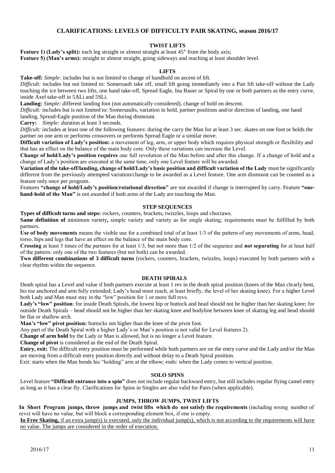#### **CLARIFICATIONS: LEVELS OF DIFFICULTY PAIR SKATING, season 2016/17**

#### **TWIST LIFTS**

**Feature 1) (Lady's split):** each leg straight or almost straight at least  $45^{\circ}$  from the body axis; Feature 5) (Man's arms): straight or almost straight, going sideways and reaching at least shoulder level.

#### **LIFTS**

**Take-off:** *Simple:* includes but is not limited to change of handhold on ascent of lift.

*Difficult:* includes but not limited to: Somersault take off, small lift going immediately into a Pair lift take-off without the Lady touching the ice between two lifts, one hand take-off, Spread Eagle, Ina Bauer or Spiral by one or both partners as the entry curve, inside Axel take-off in 5ALi and 5SLi.

**Landing:** *Simple: d*ifferent landing foot (not automatically considered), change of hold on descent.

*Difficult:* includes but is not limited to: Somersaults, variation in hold, partner positions and/or direction of landing, one hand landing, Spread-Eagle position of the Man during dismount.

**Carry:** *Simple: d*uration at least 3 seconds.

*Difficult:* includes at least one of the following features: during the carry the Man for at least 3 sec. skates on one foot or holds the partner on one arm or performs crossovers or performs Spread Eagle or a similar move.

**Difficult variation of Lady's position:** a movement of leg, arm, or upper body which requires physical strength or flexibility and that has an effect on the balance of the main body core. Only these variations can increase the Level.

**Change of hold/Lady's position requires** one full revolution of the Man before and after this change. If a change of hold and a change of Lady's position are executed at the same time, only one Level feature will be awarded.

**Variation of the take-off/landing, change of hold/Lady's basic position and difficult variation of the Lady** must be significantly different from the previously attempted variation/change to be awarded as a Level feature. One arm dismount can be counted as a feature only once per program.

Features **"change of hold/Lady's position/rotational direction"** are not awarded if change is interrupted by carry. Feature **"onehand-hold of the Man"** is not awarded if both arms of the Lady are touching the Man.

#### **STEP SEQUENCES**

**Types of difficult turns and steps:** rockers, counters, brackets, twizzles, loops and choctaws.

**Same definition of** minimum variety, simple variety and variety as for single skating; requirements must be fulfilled by both partners.

**Use of body movements** means the visible use for a combined total of at least 1/3 of the pattern of any movements of arms, head, torso, hips and legs that have an effect on the balance of the main body core.

**Crossing** at least 3 times of the partners for at least 1/3, but not more than 1/2 of the sequence and **not separating** for at least half of the pattern: only one of the two features (but not both) can be awarded.

**Two different combinations of 3 difficult turns** (rockers, counters, brackets, twizzles, loops) executed by both partners with a clear rhythm within the sequence.

#### **DEATH SPIRALS**

Death spiral has a Level and value if both partners execute at least 1 rev in the death spiral position (knees of the Man clearly bent, his toe anchored and arm fully extended; Lady's head must reach, at least briefly, the level of her skating knee). For a higher Level both Lady and Man must stay in the "low" position for 1 or more full revs.

Lady's "low" position: for inside Death Spirals, the lowest hip or buttock and head should not be higher than her skating knee; for outside Death Spirals – head should not be higher than her skating knee and bodyline between knee of skating leg and head should be flat or shallow arch.

**Man's "low" pivot position:** buttocks not higher than the knee of the pivot foot.

Any part of the Death Spiral with a higher Lady's or Man's position is not valid for Level features 2).

**Change of arm hold** by the Lady or Man is allowed, but is no longer a Level feature.

**Change of pivot** is considered as the end of the Death Spiral.

**Entry, exit:** The difficult entry position must be performed while both partners are on the entry curve and the Lady and/or the Man are moving from a difficult entry position directly and without delay to a Death Spiral position.

Exit: starts when the Man bends his "holding" arm at the elbow; ends: when the Lady comes to vertical position.

#### **SOLO SPINS**

Level feature **"Difficult entrance into a spin"** does not include regular backward entry, but still includes regular flying camel entry as long as it has a clear fly. Clarifications for Spins in Singles are also valid for Pairs (when applicable).

#### **JUMPS, THROW JUMPS, TWIST LIFTS**

In Short Program jumps, throw jumps and twist lifts which do not satisfy the requirements (including wrong number of revs) will have no value, but will block a corresponding element box, if one is empty.

**In Free Skating,** if an extra jump(s) is executed, only the individual jump(s), which is not according to the requirements will have no value. The jumps are considered in the order of execution.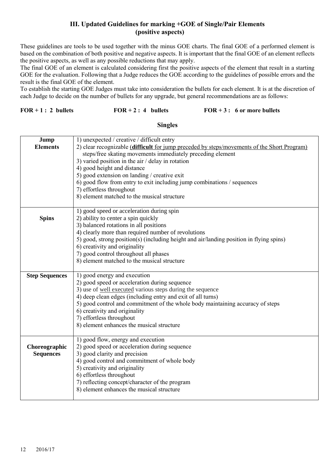#### **III. Updated Guidelines for marking +GOE of Single/Pair Elements (positive aspects)**

These guidelines are tools to be used together with the minus GOE charts. The final GOE of a performed element is based on the combination of both positive and negative aspects. It is important that the final GOE of an element reflects the positive aspects, as well as any possible reductions that may apply.

The final GOE of an element is calculated considering first the positive aspects of the element that result in a starting GOE for the evaluation. Following that a Judge reduces the GOE according to the guidelines of possible errors and the result is the final GOE of the element.

To establish the starting GOE Judges must take into consideration the bullets for each element. It is at the discretion of each Judge to decide on the number of bullets for any upgrade, but general recommendations are as follows:

#### **FOR + 1 : 2 bullets FOR + 2 : 4 bullets FOR + 3 : 6 or more bullets**

#### **Singles**

| Jump<br><b>Elements</b>           | 1) unexpected / creative / difficult entry<br>2) clear recognizable (difficult for jump preceded by steps/movements of the Short Program)<br>steps/free skating movements immediately preceding element<br>3) varied position in the air $/$ delay in rotation<br>4) good height and distance<br>5) good extension on landing / creative exit<br>6) good flow from entry to exit including jump combinations / sequences<br>7) effortless throughout<br>8) element matched to the musical structure |
|-----------------------------------|-----------------------------------------------------------------------------------------------------------------------------------------------------------------------------------------------------------------------------------------------------------------------------------------------------------------------------------------------------------------------------------------------------------------------------------------------------------------------------------------------------|
| <b>Spins</b>                      | 1) good speed or acceleration during spin<br>2) ability to center a spin quickly<br>3) balanced rotations in all positions<br>4) clearly more than required number of revolutions<br>5) good, strong position(s) (including height and air/landing position in flying spins)<br>6) creativity and originality<br>7) good control throughout all phases<br>8) element matched to the musical structure                                                                                               |
| <b>Step Sequences</b>             | 1) good energy and execution<br>2) good speed or acceleration during sequence<br>3) use of well executed various steps during the sequence<br>4) deep clean edges (including entry and exit of all turns)<br>5) good control and commitment of the whole body maintaining accuracy of steps<br>6) creativity and originality<br>7) effortless throughout<br>8) element enhances the musical structure                                                                                               |
| Choreographic<br><b>Sequences</b> | 1) good flow, energy and execution<br>2) good speed or acceleration during sequence<br>3) good clarity and precision<br>4) good control and commitment of whole body<br>5) creativity and originality<br>6) effortless throughout<br>7) reflecting concept/character of the program<br>8) element enhances the musical structure                                                                                                                                                                    |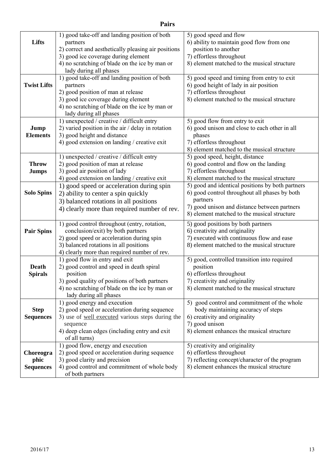|                    | 1) good take-off and landing position of both           | 5) good speed and flow                           |
|--------------------|---------------------------------------------------------|--------------------------------------------------|
| Lifts              | partners                                                | 6) ability to maintain good flow from one        |
|                    | 2) correct and aesthetically pleasing air positions     | position to another                              |
|                    | 3) good ice coverage during element                     | 7) effortless throughout                         |
|                    | 4) no scratching of blade on the ice by man or          | 8) element matched to the musical structure      |
|                    | lady during all phases                                  |                                                  |
|                    | 1) good take-off and landing position of both           | 5) good speed and timing from entry to exit      |
| <b>Twist Lifts</b> | partners                                                | 6) good height of lady in air position           |
|                    | 2) good position of man at release                      | 7) effortless throughout                         |
|                    | 3) good ice coverage during element                     | 8) element matched to the musical structure      |
|                    | 4) no scratching of blade on the ice by man or          |                                                  |
|                    | lady during all phases                                  |                                                  |
|                    | 1) unexpected / creative / difficult entry              | 5) good flow from entry to exit                  |
| Jump               | 2) varied position in the air $/$ delay in rotation     | 6) good unison and close to each other in all    |
| <b>Elements</b>    | 3) good height and distance                             | phases                                           |
|                    | 4) good extension on landing / creative exit            | 7) effortless throughout                         |
|                    |                                                         | 8) element matched to the musical structure      |
|                    | 1) unexpected / creative / difficult entry              | 5) good speed, height, distance                  |
| <b>Throw</b>       | 2) good position of man at release                      | 6) good control and flow on the landing          |
| <b>Jumps</b>       | 3) good air position of lady                            | 7) effortless throughout                         |
|                    | 4) good extension on landing / creative exit            | 8) element matched to the musical structure      |
|                    | 1) good speed or acceleration during spin               | 5) good and identical positions by both partners |
| <b>Solo Spins</b>  | 2) ability to center a spin quickly                     | 6) good control throughout all phases by both    |
|                    |                                                         | partners                                         |
|                    | 3) balanced rotations in all positions                  | 7) good unison and distance between partners     |
|                    | 4) clearly more than required number of rev.            | 8) element matched to the musical structure      |
|                    | 1) good control throughout (entry, rotation,            | 5) good positions by both partners               |
| <b>Pair Spins</b>  | conclusion/exit) by both partners                       | 6) creativity and originality                    |
|                    | 2) good speed or acceleration during spin               | 7) executed with continuous flow and ease        |
|                    | 3) balanced rotations in all positions                  | 8) element matched to the musical structure      |
|                    | 4) clearly more than required number of rev.            |                                                  |
|                    | 1) good flow in entry and exit                          | 5) good, controlled transition into required     |
| Death              | 2) good control and speed in death spiral               | position                                         |
| <b>Spirals</b>     | position                                                | 6) effortless throughout                         |
|                    | 3) good quality of positions of both partners           | 7) creativity and originality                    |
|                    | 4) no scratching of blade on the ice by man or          | 8) element matched to the musical structure      |
|                    | lady during all phases                                  |                                                  |
|                    | 1) good energy and execution                            | 5) good control and commitment of the whole      |
| <b>Step</b>        | 2) good speed or acceleration during sequence           | body maintaining accuracy of steps               |
| <b>Sequences</b>   | 3) use of <u>well executed</u> various steps during the | 6) creativity and originality                    |
|                    | sequence                                                | 7) good unison                                   |
|                    | 4) deep clean edges (including entry and exit           | 8) element enhances the musical structure        |
|                    | of all turns)                                           |                                                  |
|                    | 1) good flow, energy and execution                      | 5) creativity and originality                    |
| Choreogra          | 2) good speed or acceleration during sequence           | 6) effortless throughout                         |
| phic               | 3) good clarity and precision                           | 7) reflecting concept/character of the program   |
| <b>Sequences</b>   | 4) good control and commitment of whole body            | 8) element enhances the musical structure        |
|                    | of both partners                                        |                                                  |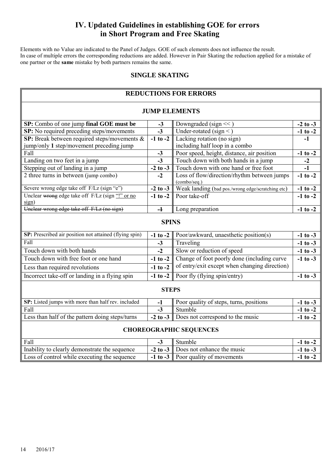### **IV. Updated Guidelines in establishing GOE for errors in Short Program and Free Skating**

Elements with no Value are indicated to the Panel of Judges. GOE of such elements does not influence the result. In case of multiple errors the corresponding reductions are added. However in Pair Skating the reduction applied for a mistake of one partner or the **same** mistake by both partners remains the same.

#### **SINGLE SKATING**

| <b>REDUCTIONS FOR ERRORS</b>                              |                         |                                                             |                 |  |  |  |  |
|-----------------------------------------------------------|-------------------------|-------------------------------------------------------------|-----------------|--|--|--|--|
| <b>JUMP ELEMENTS</b>                                      |                         |                                                             |                 |  |  |  |  |
| SP: Combo of one jump final GOE must be                   | $-3$                    | Downgraded (sign $<<$ )                                     | $-2$ to $-3$    |  |  |  |  |
| <b>SP:</b> No required preceding steps/movements          | $-3$                    | Under-rotated (sign $\leq$ )                                | $-1$ to $-2$    |  |  |  |  |
| SP: Break between required steps/movements &              | $-1$ to $-2$            | Lacking rotation (no sign)                                  | $-1$            |  |  |  |  |
| jump/only 1 step/movement preceding jump                  |                         | including half loop in a combo                              |                 |  |  |  |  |
| Fall                                                      | <u>-3</u>               | Poor speed, height, distance, air position                  | $-1$ to $-2$    |  |  |  |  |
| Landing on two feet in a jump                             | $-3$                    | Touch down with both hands in a jump                        | $\frac{-2}{-1}$ |  |  |  |  |
| Stepping out of landing in a jump                         | $-2$ to $-3$            | Touch down with one hand or free foot                       |                 |  |  |  |  |
| 2 three turns in between (jump combo)                     | $-2$                    | Loss of flow/direction/rhythm between jumps<br>(combo/seq.) | $-1$ to $-2$    |  |  |  |  |
| Severe wrong edge take off F/Lz (sign "e")                | $-2$ to $-3$            | Weak landing (bad pos./wrong edge/scratching etc)           | $-1$ to $-2$    |  |  |  |  |
| Unclear wrong edge take off F/Lz (sign "!" or no<br>sign) | $-1$ to $-2$            | Poor take-off                                               | $-1$ to $-2$    |  |  |  |  |
| Unclear wrong edge take off F/Lz (no sign)                | $\overline{\mathbf{A}}$ | Long preparation                                            | $-1$ to $-2$    |  |  |  |  |
| <b>SPINS</b>                                              |                         |                                                             |                 |  |  |  |  |
| SP: Prescribed air position not attained (flying spin)    | $-1$ to $-2$            | Poor/awkward, unaesthetic position(s)                       | $-1$ to $-3$    |  |  |  |  |
| Fall                                                      | $-3$                    | Traveling                                                   | $-1$ to $-3$    |  |  |  |  |
| Touch down with both hands                                | $-2$                    | Slow or reduction of speed                                  | $-1$ to $-3$    |  |  |  |  |
| Touch down with free foot or one hand                     | $-1$ to $-2$            | Change of foot poorly done (including curve                 | $-1$ to $-3$    |  |  |  |  |
| Less than required revolutions                            | $-1$ to $-2$            | of entry/exit except when changing direction)               |                 |  |  |  |  |
| Incorrect take-off or landing in a flying spin            | $-1$ to $-2$            | Poor fly (flying spin/entry)                                | $-1$ to $-3$    |  |  |  |  |
|                                                           | <b>STEPS</b>            |                                                             |                 |  |  |  |  |
| SP: Listed jumps with more than half rev. included        | $-1$                    | Poor quality of steps, turns, positions                     | $-1$ to $-3$    |  |  |  |  |
| Fall                                                      | $-3$                    | Stumble                                                     | $-1$ to $-2$    |  |  |  |  |
| Less than half of the pattern doing steps/turns           | $-2$ to $-3$            | Does not correspond to the music                            | $-1$ to $-2$    |  |  |  |  |
|                                                           |                         | <b>CHOREOGRAPHIC SEQUENCES</b>                              |                 |  |  |  |  |
| Fall                                                      | $-3$                    | Stumble                                                     | $-1$ to $-2$    |  |  |  |  |
| Inability to clearly demonstrate the sequence             | $-2$ to $-3$            | Does not enhance the music                                  | $-1$ to $-3$    |  |  |  |  |
| Loss of control while executing the sequence              |                         | -1 to -3 Poor quality of movements                          | $-1$ to $-2$    |  |  |  |  |